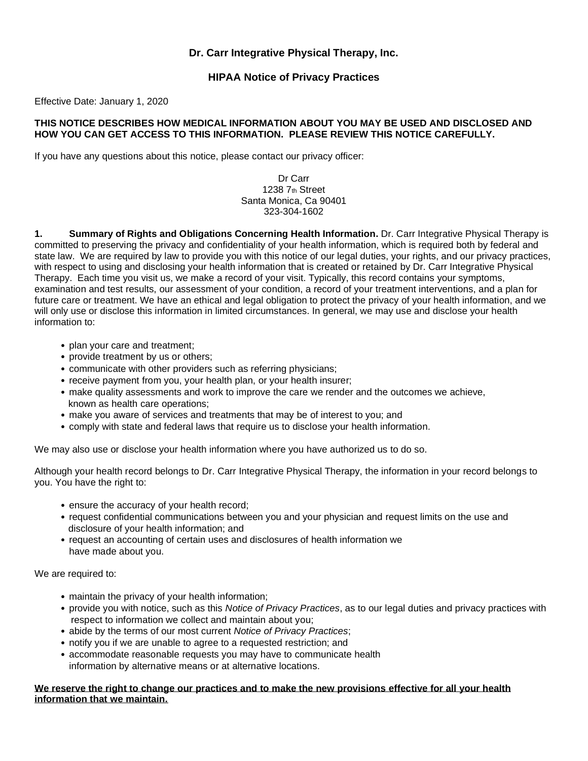## **Dr. Carr Integrative Physical Therapy, Inc.**

## **HIPAA Notice of Privacy Practices**

Effective Date: January 1, 2020

## **THIS NOTICE DESCRIBES HOW MEDICAL INFORMATION ABOUT YOU MAY BE USED AND DISCLOSED AND HOW YOU CAN GET ACCESS TO THIS INFORMATION. PLEASE REVIEW THIS NOTICE CAREFULLY.**

If you have any questions about this notice, please contact our privacy officer:

Dr Carr 1238 7th Street Santa Monica, Ca 90401 323-304-1602

**1. Summary of Rights and Obligations Concerning Health Information.** Dr. Carr Integrative Physical Therapy is committed to preserving the privacy and confidentiality of your health information, which is required both by federal and state law. We are required by law to provide you with this notice of our legal duties, your rights, and our privacy practices, with respect to using and disclosing your health information that is created or retained by Dr. Carr Integrative Physical Therapy. Each time you visit us, we make a record of your visit. Typically, this record contains your symptoms, examination and test results, our assessment of your condition, a record of your treatment interventions, and a plan for future care or treatment. We have an ethical and legal obligation to protect the privacy of your health information, and we will only use or disclose this information in limited circumstances. In general, we may use and disclose your health information to:

- plan your care and treatment;
- provide treatment by us or others;
- communicate with other providers such as referring physicians;
- receive payment from you, your health plan, or your health insurer;
- make quality assessments and work to improve the care we render and the outcomes we achieve, known as health care operations;
- make you aware of services and treatments that may be of interest to you; and
- comply with state and federal laws that require us to disclose your health information.

We may also use or disclose your health information where you have authorized us to do so.

Although your health record belongs to Dr. Carr Integrative Physical Therapy, the information in your record belongs to you. You have the right to:

- ensure the accuracy of your health record;
- request confidential communications between you and your physician and request limits on the use and disclosure of your health information; and
- request an accounting of certain uses and disclosures of health information we have made about you.

We are required to:

- maintain the privacy of your health information;
- provide you with notice, such as this *Notice of Privacy Practices*, as to our legal duties and privacy practices with respect to information we collect and maintain about you;
- abide by the terms of our most current *Notice of Privacy Practices*;
- notify you if we are unable to agree to a requested restriction; and
- accommodate reasonable requests you may have to communicate health information by alternative means or at alternative locations.

**We reserve the right to change our practices and to make the new provisions effective for all your health information that we maintain.**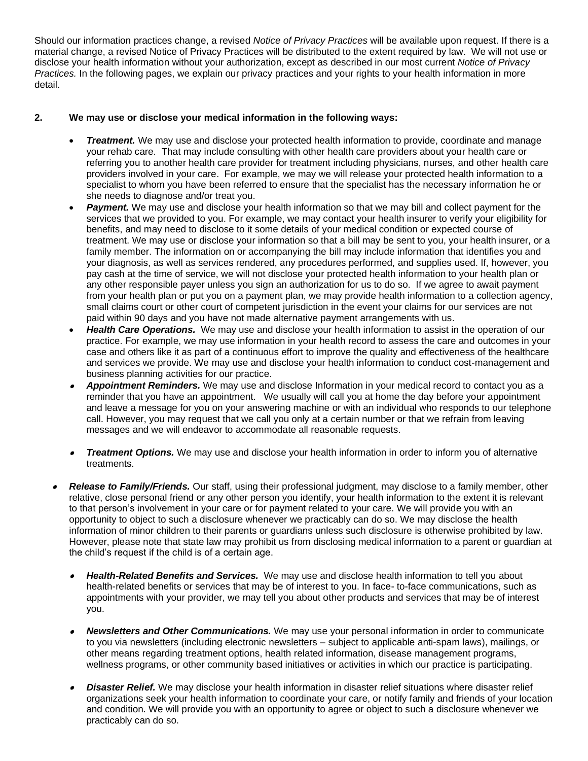Should our information practices change, a revised *Notice of Privacy Practices* will be available upon request. If there is a material change, a revised Notice of Privacy Practices will be distributed to the extent required by law. We will not use or disclose your health information without your authorization, except as described in our most current *Notice of Privacy Practices.* In the following pages, we explain our privacy practices and your rights to your health information in more detail.

## **2. We may use or disclose your medical information in the following ways:**

- *Treatment.* We may use and disclose your protected health information to provide, coordinate and manage your rehab care. That may include consulting with other health care providers about your health care or referring you to another health care provider for treatment including physicians, nurses, and other health care providers involved in your care. For example, we may we will release your protected health information to a specialist to whom you have been referred to ensure that the specialist has the necessary information he or she needs to diagnose and/or treat you.
- **Payment.** We may use and disclose your health information so that we may bill and collect payment for the services that we provided to you. For example, we may contact your health insurer to verify your eligibility for benefits, and may need to disclose to it some details of your medical condition or expected course of treatment. We may use or disclose your information so that a bill may be sent to you, your health insurer, or a family member. The information on or accompanying the bill may include information that identifies you and your diagnosis, as well as services rendered, any procedures performed, and supplies used. If, however, you pay cash at the time of service, we will not disclose your protected health information to your health plan or any other responsible payer unless you sign an authorization for us to do so. If we agree to await payment from your health plan or put you on a payment plan, we may provide health information to a collection agency, small claims court or other court of competent jurisdiction in the event your claims for our services are not paid within 90 days and you have not made alternative payment arrangements with us.
- *Health Care Operations.* We may use and disclose your health information to assist in the operation of our practice. For example, we may use information in your health record to assess the care and outcomes in your case and others like it as part of a continuous effort to improve the quality and effectiveness of the healthcare and services we provide. We may use and disclose your health information to conduct cost-management and business planning activities for our practice.
- • *Appointment Reminders.* We may use and disclose Information in your medical record to contact you as a reminder that you have an appointment. We usually will call you at home the day before your appointment and leave a message for you on your answering machine or with an individual who responds to our telephone call. However, you may request that we call you only at a certain number or that we refrain from leaving messages and we will endeavor to accommodate all reasonable requests.
- *Treatment Options.* We may use and disclose your health information in order to inform you of alternative treatments.
- • *Release to Family/Friends.* Our staff, using their professional judgment, may disclose to a family member, other relative, close personal friend or any other person you identify, your health information to the extent it is relevant to that person's involvement in your care or for payment related to your care. We will provide you with an opportunity to object to such a disclosure whenever we practicably can do so. We may disclose the health information of minor children to their parents or guardians unless such disclosure is otherwise prohibited by law. However, please note that state law may prohibit us from disclosing medical information to a parent or guardian at the child's request if the child is of a certain age.
	- • *Health-Related Benefits and Services.* We may use and disclose health information to tell you about health-related benefits or services that may be of interest to you. In face- to-face communications, such as appointments with your provider, we may tell you about other products and services that may be of interest you.
	- • *Newsletters and Other Communications.* We may use your personal information in order to communicate to you via newsletters (including electronic newsletters – subject to applicable anti-spam laws), mailings, or other means regarding treatment options, health related information, disease management programs, wellness programs, or other community based initiatives or activities in which our practice is participating.
	- • *Disaster Relief.* We may disclose your health information in disaster relief situations where disaster relief organizations seek your health information to coordinate your care, or notify family and friends of your location and condition. We will provide you with an opportunity to agree or object to such a disclosure whenever we practicably can do so.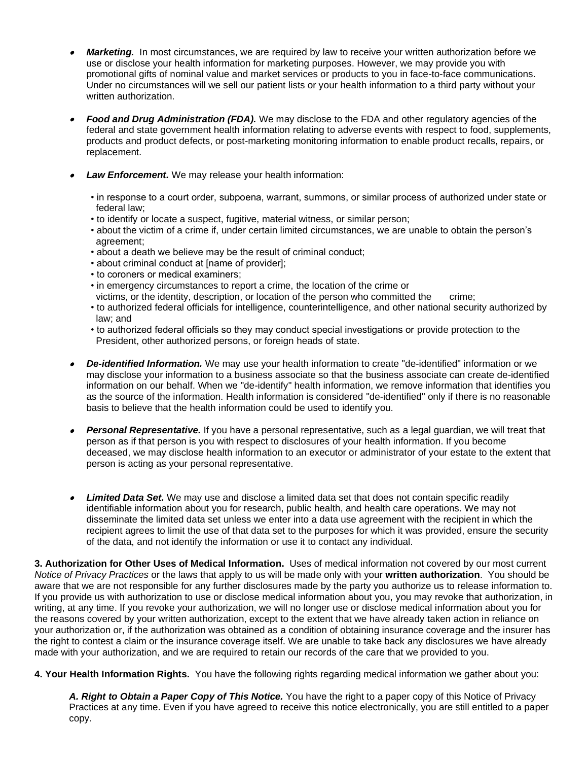- • *Marketing.* In most circumstances, we are required by law to receive your written authorization before we use or disclose your health information for marketing purposes. However, we may provide you with promotional gifts of nominal value and market services or products to you in face-to-face communications. Under no circumstances will we sell our patient lists or your health information to a third party without your written authorization.
- • *Food and Drug Administration (FDA).* We may disclose to the FDA and other regulatory agencies of the federal and state government health information relating to adverse events with respect to food, supplements, products and product defects, or post-marketing monitoring information to enable product recalls, repairs, or replacement.
- • *Law Enforcement.* We may release your health information:
	- in response to a court order, subpoena, warrant, summons, or similar process of authorized under state or federal law;
	- to identify or locate a suspect, fugitive, material witness, or similar person;
	- about the victim of a crime if, under certain limited circumstances, we are unable to obtain the person's agreement;
	- about a death we believe may be the result of criminal conduct;
	- about criminal conduct at [name of provider];
	- to coroners or medical examiners;
	- in emergency circumstances to report a crime, the location of the crime or
	- victims, or the identity, description, or location of the person who committed the crime;
	- to authorized federal officials for intelligence, counterintelligence, and other national security authorized by law; and
	- to authorized federal officials so they may conduct special investigations or provide protection to the President, other authorized persons, or foreign heads of state.
- • *De-identified Information.* We may use your health information to create "de-identified" information or we may disclose your information to a business associate so that the business associate can create de-identified information on our behalf. When we "de-identify" health information, we remove information that identifies you as the source of the information. Health information is considered "de-identified" only if there is no reasonable basis to believe that the health information could be used to identify you.
- • *Personal Representative.* If you have a personal representative, such as a legal guardian, we will treat that person as if that person is you with respect to disclosures of your health information. If you become deceased, we may disclose health information to an executor or administrator of your estate to the extent that person is acting as your personal representative.
- • *Limited Data Set.* We may use and disclose a limited data set that does not contain specific readily identifiable information about you for research, public health, and health care operations. We may not disseminate the limited data set unless we enter into a data use agreement with the recipient in which the recipient agrees to limit the use of that data set to the purposes for which it was provided, ensure the security of the data, and not identify the information or use it to contact any individual.

**3. Authorization for Other Uses of Medical Information.** Uses of medical information not covered by our most current *Notice of Privacy Practices* or the laws that apply to us will be made only with your **written authorization**. You should be aware that we are not responsible for any further disclosures made by the party you authorize us to release information to. If you provide us with authorization to use or disclose medical information about you, you may revoke that authorization, in writing, at any time. If you revoke your authorization, we will no longer use or disclose medical information about you for the reasons covered by your written authorization, except to the extent that we have already taken action in reliance on your authorization or, if the authorization was obtained as a condition of obtaining insurance coverage and the insurer has the right to contest a claim or the insurance coverage itself. We are unable to take back any disclosures we have already made with your authorization, and we are required to retain our records of the care that we provided to you.

**4. Your Health Information Rights.** You have the following rights regarding medical information we gather about you:

*A. Right to Obtain a Paper Copy of This Notice.* You have the right to a paper copy of this Notice of Privacy Practices at any time. Even if you have agreed to receive this notice electronically, you are still entitled to a paper copy.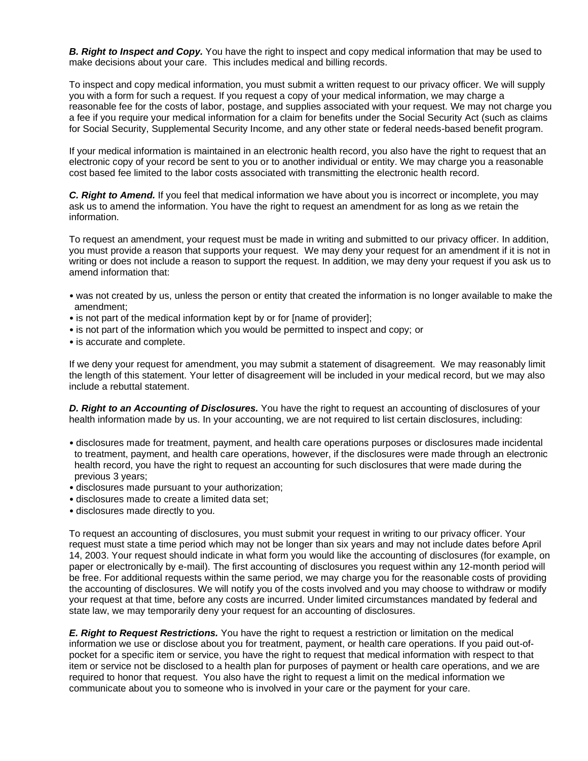*B. Right to Inspect and Copy.* You have the right to inspect and copy medical information that may be used to make decisions about your care. This includes medical and billing records.

To inspect and copy medical information, you must submit a written request to our privacy officer. We will supply you with a form for such a request. If you request a copy of your medical information, we may charge a reasonable fee for the costs of labor, postage, and supplies associated with your request. We may not charge you a fee if you require your medical information for a claim for benefits under the Social Security Act (such as claims for Social Security, Supplemental Security Income, and any other state or federal needs-based benefit program.

If your medical information is maintained in an electronic health record, you also have the right to request that an electronic copy of your record be sent to you or to another individual or entity. We may charge you a reasonable cost based fee limited to the labor costs associated with transmitting the electronic health record.

*C. Right to Amend.* If you feel that medical information we have about you is incorrect or incomplete, you may ask us to amend the information. You have the right to request an amendment for as long as we retain the information.

To request an amendment, your request must be made in writing and submitted to our privacy officer. In addition, you must provide a reason that supports your request. We may deny your request for an amendment if it is not in writing or does not include a reason to support the request. In addition, we may deny your request if you ask us to amend information that:

- was not created by us, unless the person or entity that created the information is no longer available to make the amendment;
- is not part of the medical information kept by or for [name of provider];
- is not part of the information which you would be permitted to inspect and copy; or
- is accurate and complete.

If we deny your request for amendment, you may submit a statement of disagreement. We may reasonably limit the length of this statement. Your letter of disagreement will be included in your medical record, but we may also include a rebuttal statement.

*D. Right to an Accounting of Disclosures.* You have the right to request an accounting of disclosures of your health information made by us. In your accounting, we are not required to list certain disclosures, including:

- disclosures made for treatment, payment, and health care operations purposes or disclosures made incidental to treatment, payment, and health care operations, however, if the disclosures were made through an electronic health record, you have the right to request an accounting for such disclosures that were made during the previous 3 years;
- disclosures made pursuant to your authorization;
- disclosures made to create a limited data set;
- disclosures made directly to you.

To request an accounting of disclosures, you must submit your request in writing to our privacy officer. Your request must state a time period which may not be longer than six years and may not include dates before April 14, 2003. Your request should indicate in what form you would like the accounting of disclosures (for example, on paper or electronically by e-mail). The first accounting of disclosures you request within any 12-month period will be free. For additional requests within the same period, we may charge you for the reasonable costs of providing the accounting of disclosures. We will notify you of the costs involved and you may choose to withdraw or modify your request at that time, before any costs are incurred. Under limited circumstances mandated by federal and state law, we may temporarily deny your request for an accounting of disclosures.

*E. Right to Request Restrictions.* You have the right to request a restriction or limitation on the medical information we use or disclose about you for treatment, payment, or health care operations. If you paid out-ofpocket for a specific item or service, you have the right to request that medical information with respect to that item or service not be disclosed to a health plan for purposes of payment or health care operations, and we are required to honor that request. You also have the right to request a limit on the medical information we communicate about you to someone who is involved in your care or the payment for your care.